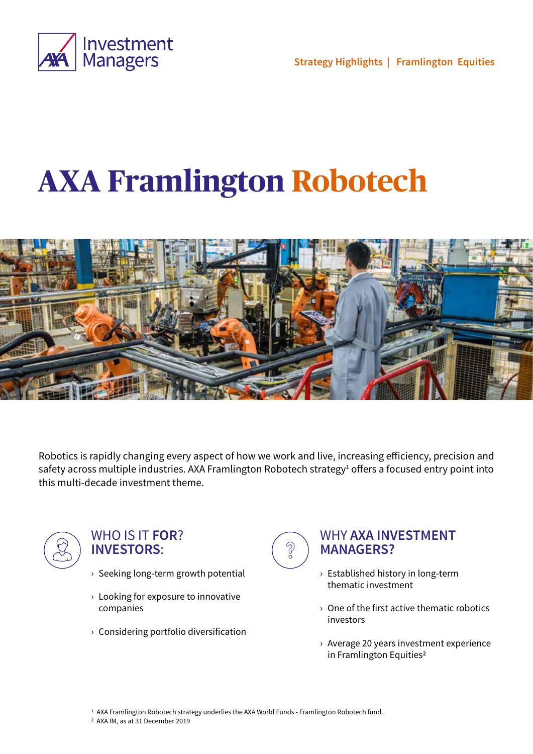

**Strategy Highlights | Framlington Equities**

# **AXA Framlington Robotech**



Robotics is rapidly changing every aspect of how we work and live, increasing efficiency, precision and safety across multiple industries. AXA Framlington Robotech strategy<sup>1</sup> offers a focused entry point into this multi-decade investment theme.



### WHO IS IT **FOR**? **INVESTORS**:

- › Seeking long-term growth potential
- $\rightarrow$  Looking for exposure to innovative companies
- › Considering portfolio diversification



### WHY **AXA INVESTMENT MANAGERS?**

- › Established history in long-term thematic investment
- › One of the first active thematic robotics investors
- › Average 20 years investment experience in Framlington Equities<sup>2</sup>
- 1 AXA Framlington Robotech strategy underlies the AXA World Funds Framlington Robotech fund.
- 2 AXA IM, as at 31 December 2019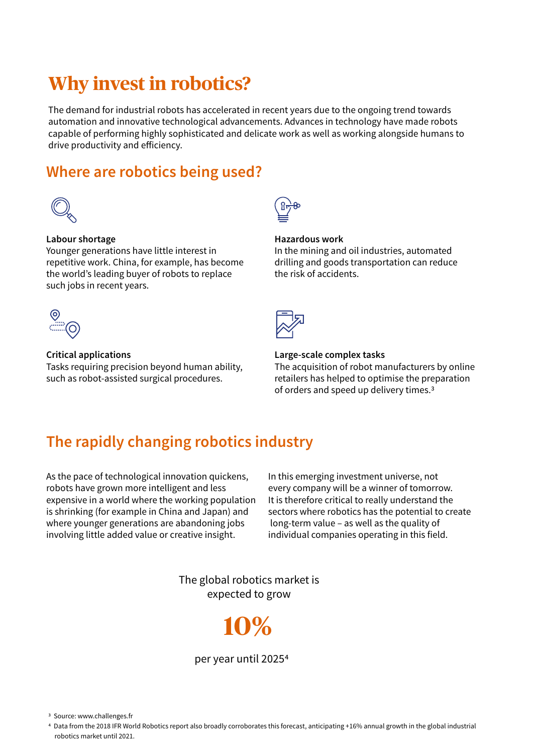# **Why invest in robotics?**

The demand for industrial robots has accelerated in recent years due to the ongoing trend towards automation and innovative technological advancements. Advances in technology have made robots capable of performing highly sophisticated and delicate work as well as working alongside humans to drive productivity and efficiency.

## **Where are robotics being used?**



#### **Labour shortage**

Younger generations have little interest in repetitive work. China, for example, has become the world's leading buyer of robots to replace such jobs in recent years.



#### **Critical applications**

Tasks requiring precision beyond human ability, such as robot-assisted surgical procedures.



#### **Hazardous work**

In the mining and oil industries, automated drilling and goods transportation can reduce the risk of accidents.



#### **Large-scale complex tasks**

The acquisition of robot manufacturers by online retailers has helped to optimise the preparation of orders and speed up delivery times.3

# **The rapidly changing robotics industry**

As the pace of technological innovation quickens, robots have grown more intelligent and less expensive in a world where the working population is shrinking (for example in China and Japan) and where younger generations are abandoning jobs involving little added value or creative insight.

In this emerging investment universe, not every company will be a winner of tomorrow. It is therefore critical to really understand the sectors where robotics has the potential to create long-term value – as well as the quality of individual companies operating in this field.

The global robotics market is expected to grow



per year until 20254

3 Source: www.challenges.fr

4 Data from the 2018 IFR World Robotics report also broadly corroborates this forecast, anticipating +16% annual growth in the global industrial robotics market until 2021.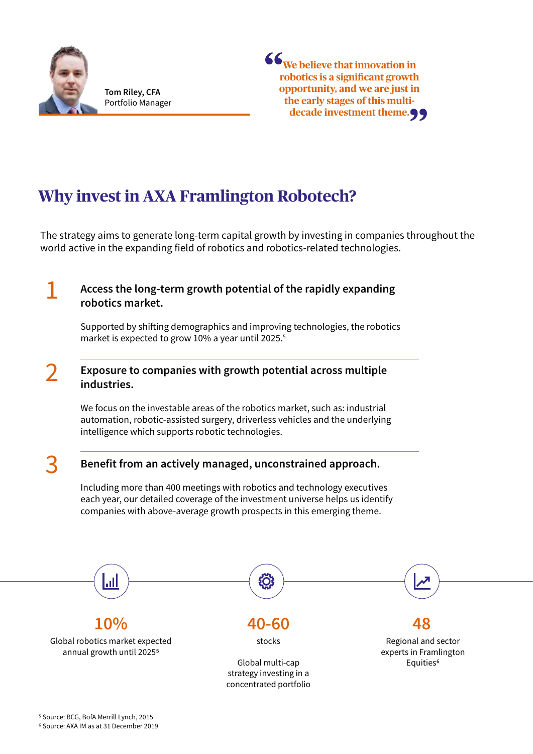

**Tom Riley, CFA** Portfolio Manager



# **Why invest in AXA Framlington Robotech?**

The strategy aims to generate long-term capital growth by investing in companies throughout the world active in the expanding field of robotics and robotics-related technologies.

### 1 **Access the long-term growth potential of the rapidly expanding robotics market.**

Supported by shifting demographics and improving technologies, the robotics market is expected to grow 10% a year until 2025.<sup>5</sup>

### 2 **Exposure to companies with growth potential across multiple industries.**

We focus on the investable areas of the robotics market, such as: industrial automation, robotic-assisted surgery, driverless vehicles and the underlying intelligence which supports robotic technologies.

### 3 **Benefit from an actively managed, unconstrained approach.**

Including more than 400 meetings with robotics and technology executives each year, our detailed coverage of the investment universe helps us identify companies with above-average growth prospects in this emerging theme.